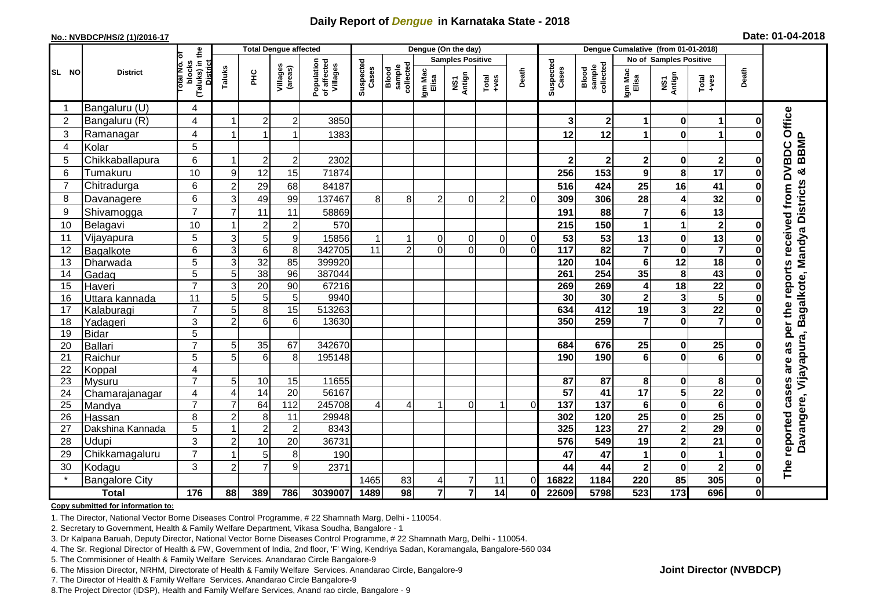## **Daily Report of** *Dengue* **in Karnataka State - 2018**

#### **No.: NVBDCP/HS/2 (1)/2016-17**

|  |  | Date: 01-04-2018 |
|--|--|------------------|
|--|--|------------------|

|                |                            |                                                    |                                  | <b>Total Dengue affected</b> |                         |                                       | Dengue (On the day)     |                             |                  |                |                                                              |              |                    | Dengue Cumalative (from 01-01-2018) |                         |                                     |                         |          |                                                           |  |
|----------------|----------------------------|----------------------------------------------------|----------------------------------|------------------------------|-------------------------|---------------------------------------|-------------------------|-----------------------------|------------------|----------------|--------------------------------------------------------------|--------------|--------------------|-------------------------------------|-------------------------|-------------------------------------|-------------------------|----------|-----------------------------------------------------------|--|
|                | ō                          |                                                    |                                  |                              |                         |                                       | <b>Samples Positive</b> |                             |                  |                |                                                              |              |                    |                                     |                         | <b>No of Samples Positive</b>       |                         |          |                                                           |  |
| SL NO          | <b>District</b>            | (Taluks) in the<br>blocks<br>Total No.<br>District | Taluks                           | ΞÉ                           | Villages<br>(areas)     | Population<br>of affected<br>Villages | Suspected<br>Cases      | Blood<br>sample<br>collecte | Igm Mac<br>Elisa | NS1<br>Antign  | $\begin{array}{c}\n\text{Total} \\ \text{true}\n\end{array}$ | Death        | Suspected<br>Cases | Blood<br>sample<br>collected        | Igm Mac<br>Elisa        | NS1<br>Antign                       | Total<br>+ves           | Death    |                                                           |  |
|                | Bangaluru (U)              | $\overline{4}$                                     |                                  |                              |                         |                                       |                         |                             |                  |                |                                                              |              |                    |                                     |                         |                                     |                         |          |                                                           |  |
| $\overline{2}$ | Bangaluru (R)              | 4                                                  |                                  | 2                            | $\overline{\mathbf{c}}$ | 3850                                  |                         |                             |                  |                |                                                              |              | 3                  | $\mathbf 2$                         | 1                       | 0                                   | 1                       |          |                                                           |  |
| 3              | Ramanagar                  | 4                                                  |                                  | 1                            | 1                       | 1383                                  |                         |                             |                  |                |                                                              |              | 12                 | 12                                  | 1                       | $\mathbf 0$                         | 1                       |          | as per the reports received from DVBDC Office             |  |
| 4              | Kolar                      | 5                                                  |                                  |                              |                         |                                       |                         |                             |                  |                |                                                              |              |                    |                                     |                         |                                     |                         |          |                                                           |  |
| 5              | Chikkaballapura            | $6\phantom{1}$                                     |                                  | $\overline{2}$               | $\overline{c}$          | 2302                                  |                         |                             |                  |                |                                                              |              | $\mathbf 2$        | $\mathbf 2$                         | $\overline{\mathbf{2}}$ | $\mathbf 0$                         | $\mathbf{2}$            | ŋ        |                                                           |  |
| 6              | Tumakuru                   | 10                                                 | 9                                | 12                           | 15                      | 71874                                 |                         |                             |                  |                |                                                              |              | 256                | 153                                 | $\mathbf{9}$            | 8                                   | 17                      |          |                                                           |  |
| 7              | Chitradurga                | 6                                                  | $\overline{2}$                   | 29                           | 68                      | 84187                                 |                         |                             |                  |                |                                                              |              | 516                | 424                                 | 25                      | 16                                  | 41                      |          |                                                           |  |
| 8              | Davanagere                 | $6\phantom{1}$                                     | 3                                | 49                           | 99                      | 137467                                | 8                       | 8                           | $\overline{c}$   | 0              | 2                                                            | $\Omega$     | 309                | 306                                 | 28                      | 4                                   | 32                      |          |                                                           |  |
| 9              | Shivamogga                 | $\overline{7}$                                     | 7                                | 11                           | 11                      | 58869                                 |                         |                             |                  |                |                                                              |              | 191                | 88                                  | 7                       | 6                                   | 13                      |          | Davangere, Vijayapura, Bagalkote, Mandya Districts & BBMP |  |
| 10             | Belagavi                   | 10                                                 |                                  | $\overline{2}$               | $\overline{c}$          | 570                                   |                         |                             |                  |                |                                                              |              | 215                | 150                                 | 1                       | 1                                   | $\mathbf{2}$            |          |                                                           |  |
| 11             | Vijayapura                 | $\sqrt{5}$                                         | $\ensuremath{\mathsf{3}}$        | 5                            | $\boldsymbol{9}$        | 15856                                 |                         |                             | 0                | $\overline{0}$ | $\overline{0}$                                               | $\mathbf 0$  | 53                 | 53                                  | 13                      | 0                                   | 13                      |          |                                                           |  |
| 12             | Bagalkote                  | 6                                                  | $\overline{3}$                   | $6\phantom{1}6$              | $\overline{8}$          | 342705                                | $\overline{11}$         | $\overline{2}$              | $\Omega$         | $\Omega$       | $\Omega$                                                     | $\Omega$     | $\frac{1}{117}$    | $\overline{82}$                     | $\overline{7}$          | $\overline{\mathbf{0}}$             | $\overline{\mathbf{7}}$ |          |                                                           |  |
| 13             | Dharwada                   | $\overline{5}$                                     | 3                                | 32                           | 85                      | 399920                                |                         |                             |                  |                |                                                              |              | 120                | 104                                 | $6\phantom{1}$          | $\overline{12}$                     | $\overline{18}$         |          |                                                           |  |
| 14             | Gadag                      | 5                                                  | 5                                | 38                           | 96                      | 387044                                |                         |                             |                  |                |                                                              |              | 261                | 254                                 | 35                      | 8                                   | 43                      |          |                                                           |  |
| 15             | Haveri                     | $\overline{7}$                                     | 3                                | $\overline{20}$              | $\overline{90}$         | 67216                                 |                         |                             |                  |                |                                                              |              | 269                | 269                                 | 4                       | $\overline{18}$                     | $\overline{22}$         |          |                                                           |  |
| 16             | Uttara kannada             | 11                                                 | 5                                | 5                            | 5                       | 9940                                  |                         |                             |                  |                |                                                              |              | 30                 | 30                                  | $\overline{\mathbf{2}}$ | 3                                   | 5                       |          |                                                           |  |
| 17             | Kalaburagi                 | $\overline{7}$                                     | 5                                | 8                            | $\overline{15}$         | 513263                                |                         |                             |                  |                |                                                              |              | 634                | 412                                 | 19                      | $\overline{\mathbf{3}}$             | $\overline{22}$         |          |                                                           |  |
| 18             | Yadageri                   | 3                                                  | $\overline{2}$                   | 6                            | 6                       | 13630                                 |                         |                             |                  |                |                                                              |              | 350                | 259                                 | $\overline{7}$          | $\mathbf 0$                         | $\overline{7}$          |          |                                                           |  |
| 19             | <b>Bidar</b>               | 5                                                  |                                  |                              |                         |                                       |                         |                             |                  |                |                                                              |              |                    |                                     |                         |                                     |                         |          |                                                           |  |
| 20             | Ballari                    | $\overline{7}$                                     | 5                                | 35                           | 67                      | 342670                                |                         |                             |                  |                |                                                              |              | 684                | 676                                 | 25                      | $\bf{0}$                            | 25                      |          |                                                           |  |
| 21             | Raichur                    | 5                                                  | 5                                | 6                            | 8                       | 195148                                |                         |                             |                  |                |                                                              |              | 190                | 190                                 | $6\phantom{1}$          | $\mathbf{0}$                        | 6                       |          |                                                           |  |
| 22             | Koppal                     | $\overline{\mathbf{4}}$                            |                                  |                              |                         |                                       |                         |                             |                  |                |                                                              |              |                    |                                     |                         |                                     |                         |          |                                                           |  |
| 23             | Mysuru                     | $\overline{7}$                                     | 5                                | $10$                         | 15                      | 11655                                 |                         |                             |                  |                |                                                              |              | 87                 | 87                                  | 8                       | 0                                   | 8                       |          |                                                           |  |
| 24             | Chamarajanagar             | $\overline{4}$<br>$\overline{7}$                   | $\overline{4}$<br>$\overline{7}$ | 14                           | 20                      | 56167                                 |                         |                             |                  |                | 1                                                            |              | $\overline{57}$    | 41                                  | $\overline{17}$         | $\overline{\mathbf{5}}$             | $\overline{22}$         |          |                                                           |  |
| 25             | Mandya                     |                                                    |                                  | 64                           | 112                     | 245708                                | 4                       | $\overline{4}$              |                  | $\overline{0}$ |                                                              | $\Omega$     | 137                | 137                                 | $\bf 6$                 | $\mathbf 0$                         | $\bullet$<br>25         |          |                                                           |  |
| 26<br>27       | Hassan<br>Dakshina Kannada | 8<br>$\overline{5}$                                | $\overline{2}$                   | 8<br>$\overline{2}$          | 11<br>$\overline{2}$    | 29948<br>8343                         |                         |                             |                  |                |                                                              |              | 302<br>325         | 120<br>123                          | 25<br>$\overline{27}$   | $\bf{0}$<br>$\overline{\mathbf{2}}$ | $\overline{29}$         |          |                                                           |  |
|                | Udupi                      | 3                                                  |                                  |                              |                         |                                       |                         |                             |                  |                |                                                              |              |                    | 549                                 |                         |                                     |                         |          |                                                           |  |
| 28             |                            | $\overline{7}$                                     | $\overline{2}$                   | 10                           | 20                      | 36731                                 |                         |                             |                  |                |                                                              |              | 576                |                                     | 19                      | $\overline{\mathbf{2}}$             | 21                      |          | reported cases are                                        |  |
| 29             | Chikkamagaluru             | 3                                                  |                                  | 5<br>$\overline{7}$          | 8                       | 190                                   |                         |                             |                  |                |                                                              |              | 47                 | 47                                  | 1                       | $\mathbf 0$                         | $\mathbf{1}$            |          |                                                           |  |
| 30             | Kodagu                     |                                                    | $\overline{2}$                   |                              | 9                       | 2371                                  |                         |                             |                  |                |                                                              |              | 44                 | 44                                  | $\overline{\mathbf{2}}$ | $\bf{0}$                            | $\mathbf 2$             |          | The                                                       |  |
|                | <b>Bangalore City</b>      |                                                    |                                  |                              |                         |                                       | 1465                    | 83                          | 4                | $\overline{7}$ | 11                                                           | $\Omega$     | 16822              | 1184                                | 220                     | 85                                  | 305                     | 0        |                                                           |  |
|                | <b>Total</b>               | 176                                                | 88                               | 389                          | 786                     | 3039007                               | 1489                    | $\overline{98}$             | $\overline{7}$   | $\overline{7}$ | 14                                                           | $\mathbf{0}$ | 22609              | 5798                                | 523                     | $\frac{1}{173}$                     | 696                     | $\bf{0}$ |                                                           |  |

#### **Copy submitted for information to:**

1. The Director, National Vector Borne Diseases Control Programme, # 22 Shamnath Marg, Delhi - 110054.

2. Secretary to Government, Health & Family Welfare Department, Vikasa Soudha, Bangalore - 1

3. Dr Kalpana Baruah, Deputy Director, National Vector Borne Diseases Control Programme, # 22 Shamnath Marg, Delhi - 110054.

- 4. The Sr. Regional Director of Health & FW, Government of India, 2nd floor, 'F' Wing, Kendriya Sadan, Koramangala, Bangalore-560 034
- 5. The Commisioner of Health & Family Welfare Services. Anandarao Circle Bangalore-9
- 6. The Mission Director, NRHM, Directorate of Health & Family Welfare Services. Anandarao Circle, Bangalore-9

7. The Director of Health & Family Welfare Services. Anandarao Circle Bangalore-9

8. The Project Director (IDSP), Health and Family Welfare Services, Anand rao circle, Bangalore - 9